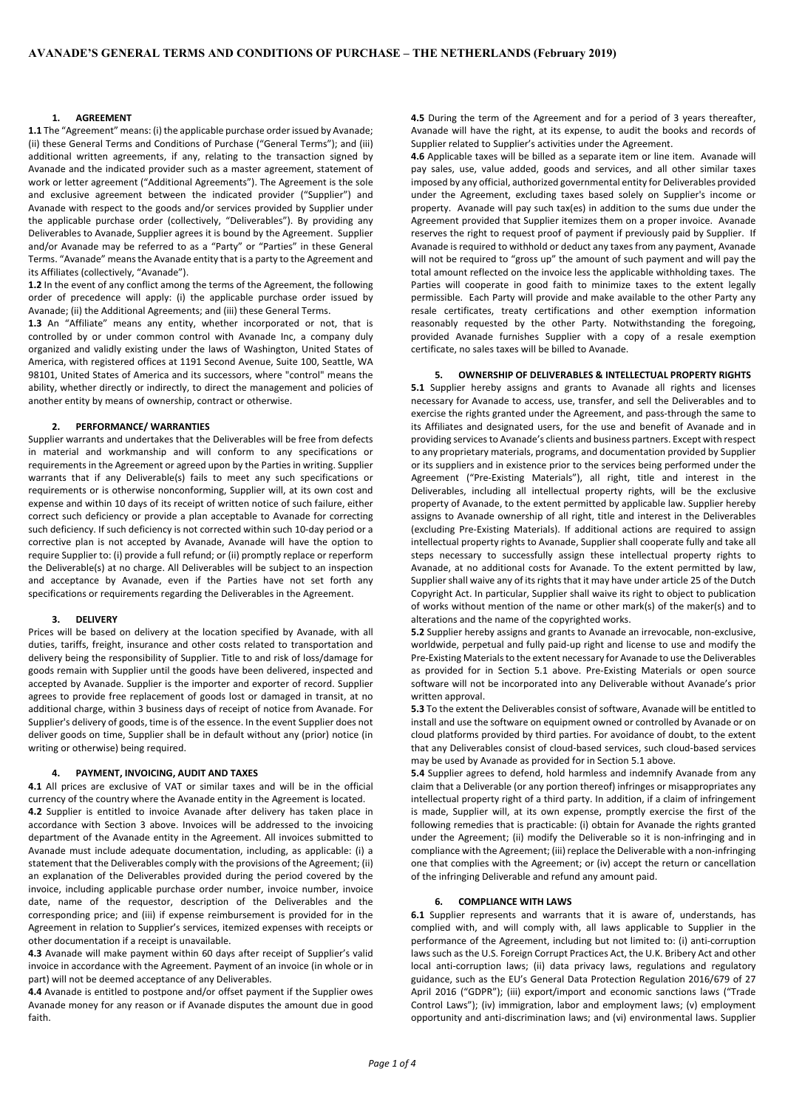### **1. AGREEMENT**

**1.1** The "Agreement" means: (i) the applicable purchase order issued by Avanade; (ii) these General Terms and Conditions of Purchase ("General Terms"); and (iii) additional written agreements, if any, relating to the transaction signed by Avanade and the indicated provider such as a master agreement, statement of work or letter agreement ("Additional Agreements"). The Agreement is the sole and exclusive agreement between the indicated provider ("Supplier") and Avanade with respect to the goods and/or services provided by Supplier under the applicable purchase order (collectively, "Deliverables"). By providing any Deliverables to Avanade, Supplier agrees it is bound by the Agreement. Supplier and/or Avanade may be referred to as a "Party" or "Parties" in these General Terms. "Avanade" means the Avanade entity that is a party to the Agreement and its Affiliates (collectively, "Avanade").

**1.2** In the event of any conflict among the terms of the Agreement, the following order of precedence will apply: (i) the applicable purchase order issued by Avanade; (ii) the Additional Agreements; and (iii) these General Terms.

**1.3** An "Affiliate" means any entity, whether incorporated or not, that is controlled by or under common control with Avanade Inc, a company duly organized and validly existing under the laws of Washington, United States of America, with registered offices at 1191 Second Avenue, Suite 100, Seattle, WA 98101, United States of America and its successors, where "control" means the ability, whether directly or indirectly, to direct the management and policies of another entity by means of ownership, contract or otherwise.

## **2. PERFORMANCE/ WARRANTIES**

Supplier warrants and undertakes that the Deliverables will be free from defects in material and workmanship and will conform to any specifications or requirements in the Agreement or agreed upon by the Parties in writing. Supplier warrants that if any Deliverable(s) fails to meet any such specifications or requirements or is otherwise nonconforming, Supplier will, at its own cost and expense and within 10 days of its receipt of written notice of such failure, either correct such deficiency or provide a plan acceptable to Avanade for correcting such deficiency. If such deficiency is not corrected within such 10-day period or a corrective plan is not accepted by Avanade, Avanade will have the option to require Supplier to: (i) provide a full refund; or (ii) promptly replace or reperform the Deliverable(s) at no charge. All Deliverables will be subject to an inspection and acceptance by Avanade, even if the Parties have not set forth any specifications or requirements regarding the Deliverables in the Agreement.

### **3. DELIVERY**

Prices will be based on delivery at the location specified by Avanade, with all duties, tariffs, freight, insurance and other costs related to transportation and delivery being the responsibility of Supplier. Title to and risk of loss/damage for goods remain with Supplier until the goods have been delivered, inspected and accepted by Avanade. Supplier is the importer and exporter of record. Supplier agrees to provide free replacement of goods lost or damaged in transit, at no additional charge, within 3 business days of receipt of notice from Avanade. For Supplier's delivery of goods, time is of the essence. In the event Supplier does not deliver goods on time, Supplier shall be in default without any (prior) notice (in writing or otherwise) being required.

## **4. PAYMENT, INVOICING, AUDIT AND TAXES**

**4.1** All prices are exclusive of VAT or similar taxes and will be in the official currency of the country where the Avanade entity in the Agreement is located. **4.2** Supplier is entitled to invoice Avanade after delivery has taken place in accordance with Section 3 above. Invoices will be addressed to the invoicing department of the Avanade entity in the Agreement. All invoices submitted to Avanade must include adequate documentation, including, as applicable: (i) a statement that the Deliverables comply with the provisions of the Agreement; (ii) an explanation of the Deliverables provided during the period covered by the invoice, including applicable purchase order number, invoice number, invoice date, name of the requestor, description of the Deliverables and the corresponding price; and (iii) if expense reimbursement is provided for in the Agreement in relation to Supplier's services, itemized expenses with receipts or other documentation if a receipt is unavailable.

**4.3** Avanade will make payment within 60 days after receipt of Supplier's valid invoice in accordance with the Agreement. Payment of an invoice (in whole or in part) will not be deemed acceptance of any Deliverables.

**4.4** Avanade is entitled to postpone and/or offset payment if the Supplier owes Avanade money for any reason or if Avanade disputes the amount due in good faith.

**4.5** During the term of the Agreement and for a period of 3 years thereafter, Avanade will have the right, at its expense, to audit the books and records of Supplier related to Supplier's activities under the Agreement.

**4.6** Applicable taxes will be billed as a separate item or line item. Avanade will pay sales, use, value added, goods and services, and all other similar taxes imposed by any official, authorized governmental entity for Deliverables provided under the Agreement, excluding taxes based solely on Supplier's income or property. Avanade will pay such tax(es) in addition to the sums due under the Agreement provided that Supplier itemizes them on a proper invoice. Avanade reserves the right to request proof of payment if previously paid by Supplier. If Avanade is required to withhold or deduct any taxes from any payment, Avanade will not be required to "gross up" the amount of such payment and will pay the total amount reflected on the invoice less the applicable withholding taxes. The Parties will cooperate in good faith to minimize taxes to the extent legally permissible. Each Party will provide and make available to the other Party any resale certificates, treaty certifications and other exemption information reasonably requested by the other Party. Notwithstanding the foregoing, provided Avanade furnishes Supplier with a copy of a resale exemption certificate, no sales taxes will be billed to Avanade.

#### **5. OWNERSHIP OF DELIVERABLES & INTELLECTUAL PROPERTY RIGHTS**

**5.1** Supplier hereby assigns and grants to Avanade all rights and licenses necessary for Avanade to access, use, transfer, and sell the Deliverables and to exercise the rights granted under the Agreement, and pass-through the same to its Affiliates and designated users, for the use and benefit of Avanade and in providing services to Avanade's clients and business partners. Except with respect to any proprietary materials, programs, and documentation provided by Supplier or its suppliers and in existence prior to the services being performed under the Agreement ("Pre-Existing Materials"), all right, title and interest in the Deliverables, including all intellectual property rights, will be the exclusive property of Avanade, to the extent permitted by applicable law. Supplier hereby assigns to Avanade ownership of all right, title and interest in the Deliverables (excluding Pre-Existing Materials). If additional actions are required to assign intellectual property rights to Avanade, Supplier shall cooperate fully and take all steps necessary to successfully assign these intellectual property rights to Avanade, at no additional costs for Avanade. To the extent permitted by law, Supplier shall waive any of its rights that it may have under article 25 of the Dutch Copyright Act. In particular, Supplier shall waive its right to object to publication of works without mention of the name or other mark(s) of the maker(s) and to alterations and the name of the copyrighted works.

**5.2** Supplier hereby assigns and grants to Avanade an irrevocable, non-exclusive, worldwide, perpetual and fully paid-up right and license to use and modify the Pre-Existing Materials to the extent necessary for Avanade to use the Deliverables as provided for in Section 5.1 above. Pre-Existing Materials or open source software will not be incorporated into any Deliverable without Avanade's prior written annroval

**5.3** To the extent the Deliverables consist of software, Avanade will be entitled to install and use the software on equipment owned or controlled by Avanade or on cloud platforms provided by third parties. For avoidance of doubt, to the extent that any Deliverables consist of cloud-based services, such cloud-based services may be used by Avanade as provided for in Section 5.1 above.

**5.4** Supplier agrees to defend, hold harmless and indemnify Avanade from any claim that a Deliverable (or any portion thereof) infringes or misappropriates any intellectual property right of a third party. In addition, if a claim of infringement is made, Supplier will, at its own expense, promptly exercise the first of the following remedies that is practicable: (i) obtain for Avanade the rights granted under the Agreement; (ii) modify the Deliverable so it is non-infringing and in compliance with the Agreement; (iii) replace the Deliverable with a non-infringing one that complies with the Agreement; or (iv) accept the return or cancellation of the infringing Deliverable and refund any amount paid.

# **6. COMPLIANCE WITH LAWS**

**6.1** Supplier represents and warrants that it is aware of, understands, has complied with, and will comply with, all laws applicable to Supplier in the performance of the Agreement, including but not limited to: (i) anti-corruption laws such as the U.S. Foreign Corrupt Practices Act, the U.K. Bribery Act and other local anti-corruption laws; (ii) data privacy laws, regulations and regulatory guidance, such as the EU's General Data Protection Regulation 2016/679 of 27 April 2016 ("GDPR"); (iii) export/import and economic sanctions laws ("Trade Control Laws"); (iv) immigration, labor and employment laws; (v) employment opportunity and anti-discrimination laws; and (vi) environmental laws. Supplier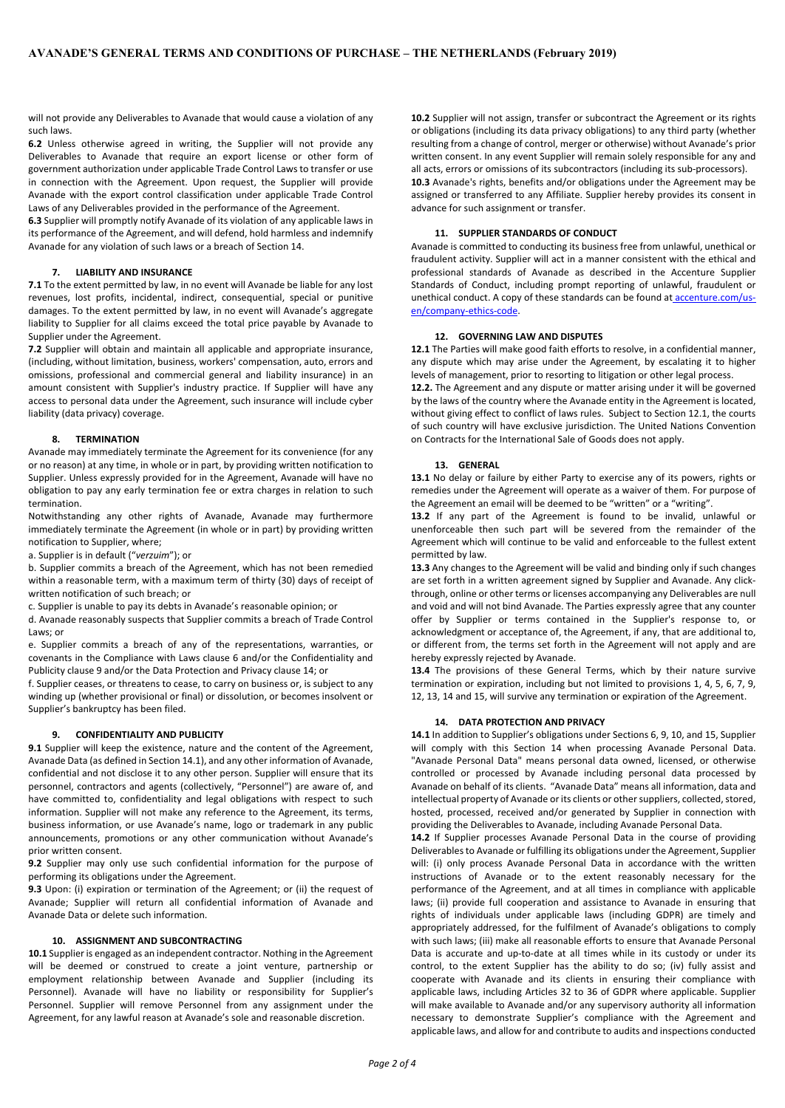will not provide any Deliverables to Avanade that would cause a violation of any such laws.

**6.2** Unless otherwise agreed in writing, the Supplier will not provide any Deliverables to Avanade that require an export license or other form of government authorization under applicable Trade Control Laws to transfer or use in connection with the Agreement. Upon request, the Supplier will provide Avanade with the export control classification under applicable Trade Control Laws of any Deliverables provided in the performance of the Agreement.

**6.3** Supplier will promptly notify Avanade of its violation of any applicable laws in its performance of the Agreement, and will defend, hold harmless and indemnify Avanade for any violation of such laws or a breach of Section 14.

# **7. LIABILITY AND INSURANCE**

**7.1** To the extent permitted by law, in no event will Avanade be liable for any lost revenues, lost profits, incidental, indirect, consequential, special or punitive damages. To the extent permitted by law, in no event will Avanade's aggregate liability to Supplier for all claims exceed the total price payable by Avanade to Supplier under the Agreement.

**7.2** Supplier will obtain and maintain all applicable and appropriate insurance, (including, without limitation, business, workers' compensation, auto, errors and omissions, professional and commercial general and liability insurance) in an amount consistent with Supplier's industry practice. If Supplier will have any access to personal data under the Agreement, such insurance will include cyber liability (data privacy) coverage.

## **8. TERMINATION**

Avanade may immediately terminate the Agreement for its convenience (for any or no reason) at any time, in whole or in part, by providing written notification to Supplier. Unless expressly provided for in the Agreement, Avanade will have no obligation to pay any early termination fee or extra charges in relation to such termination.

Notwithstanding any other rights of Avanade, Avanade may furthermore immediately terminate the Agreement (in whole or in part) by providing written notification to Supplier, where;

a. Supplier is in default ("*verzuim*"); or

b. Supplier commits a breach of the Agreement, which has not been remedied within a reasonable term, with a maximum term of thirty (30) days of receipt of written notification of such breach; or

c. Supplier is unable to pay its debts in Avanade's reasonable opinion; or

d. Avanade reasonably suspects that Supplier commits a breach of Trade Control Laws; or

e. Supplier commits a breach of any of the representations, warranties, or covenants in the Compliance with Laws clause 6 and/or the Confidentiality and Publicity clause 9 and/or the Data Protection and Privacy clause 14; or

f. Supplier ceases, or threatens to cease, to carry on business or, is subject to any winding up (whether provisional or final) or dissolution, or becomes insolvent or Supplier's bankruptcy has been filed.

# **9. CONFIDENTIALITY AND PUBLICITY**

**9.1** Supplier will keep the existence, nature and the content of the Agreement, Avanade Data (as defined in Section 14.1), and any other information of Avanade, confidential and not disclose it to any other person. Supplier will ensure that its personnel, contractors and agents (collectively, "Personnel") are aware of, and have committed to, confidentiality and legal obligations with respect to such information. Supplier will not make any reference to the Agreement, its terms, business information, or use Avanade's name, logo or trademark in any public announcements, promotions or any other communication without Avanade's prior written consent.

**9.2** Supplier may only use such confidential information for the purpose of performing its obligations under the Agreement.

**9.3** Upon: (i) expiration or termination of the Agreement; or (ii) the request of Avanade; Supplier will return all confidential information of Avanade and Avanade Data or delete such information.

## **10. ASSIGNMENT AND SUBCONTRACTING**

**10.1** Supplier is engaged as an independent contractor. Nothing in the Agreement will be deemed or construed to create a joint venture, partnership or employment relationship between Avanade and Supplier (including its Personnel). Avanade will have no liability or responsibility for Supplier's Personnel. Supplier will remove Personnel from any assignment under the Agreement, for any lawful reason at Avanade's sole and reasonable discretion.

**10.2** Supplier will not assign, transfer or subcontract the Agreement or its rights or obligations (including its data privacy obligations) to any third party (whether resulting from a change of control, merger or otherwise) without Avanade's prior written consent. In any event Supplier will remain solely responsible for any and all acts, errors or omissions of its subcontractors (including its sub-processors). **10.3** Avanade's rights, benefits and/or obligations under the Agreement may be assigned or transferred to any Affiliate. Supplier hereby provides its consent in advance for such assignment or transfer.

#### **11. SUPPLIER STANDARDS OF CONDUCT**

Avanade is committed to conducting its business free from unlawful, unethical or fraudulent activity. Supplier will act in a manner consistent with the ethical and professional standards of Avanade as described in the Accenture Supplier Standards of Conduct, including prompt reporting of unlawful, fraudulent or unethical conduct. A copy of these standards can be found at [accenture.com/us](https://www.accenture.com/us-en/company-ethics-code)[en/company-ethics-code.](https://www.accenture.com/us-en/company-ethics-code)

#### **12. GOVERNING LAW AND DISPUTES**

**12.1** The Parties will make good faith efforts to resolve, in a confidential manner, any dispute which may arise under the Agreement, by escalating it to higher levels of management, prior to resorting to litigation or other legal process.

**12.2.** The Agreement and any dispute or matter arising under it will be governed by the laws of the country where the Avanade entity in the Agreement is located, without giving effect to conflict of laws rules. Subject to Section 12.1, the courts of such country will have exclusive jurisdiction. The United Nations Convention on Contracts for the International Sale of Goods does not apply.

#### **13. GENERAL**

**13.1** No delay or failure by either Party to exercise any of its powers, rights or remedies under the Agreement will operate as a waiver of them. For purpose of the Agreement an email will be deemed to be "written" or a "writing".

**13.2** If any part of the Agreement is found to be invalid, unlawful or unenforceable then such part will be severed from the remainder of the Agreement which will continue to be valid and enforceable to the fullest extent permitted by law.

**13.3** Any changes to the Agreement will be valid and binding only if such changes are set forth in a written agreement signed by Supplier and Avanade. Any clickthrough, online or other terms or licenses accompanying any Deliverables are null and void and will not bind Avanade. The Parties expressly agree that any counter offer by Supplier or terms contained in the Supplier's response to, or acknowledgment or acceptance of, the Agreement, if any, that are additional to, or different from, the terms set forth in the Agreement will not apply and are hereby expressly rejected by Avanade.

**13.4** The provisions of these General Terms, which by their nature survive termination or expiration, including but not limited to provisions 1, 4, 5, 6, 7, 9, 12, 13, 14 and 15, will survive any termination or expiration of the Agreement.

# **14. DATA PROTECTION AND PRIVACY**

**14.1** In addition to Supplier's obligations under Sections 6, 9, 10, and 15, Supplier will comply with this Section 14 when processing Avanade Personal Data. "Avanade Personal Data" means personal data owned, licensed, or otherwise controlled or processed by Avanade including personal data processed by Avanade on behalf of its clients. "Avanade Data" means all information, data and intellectual property of Avanade or its clients or other suppliers, collected, stored, hosted, processed, received and/or generated by Supplier in connection with providing the Deliverables to Avanade, including Avanade Personal Data.

**14.2** If Supplier processes Avanade Personal Data in the course of providing Deliverables to Avanade or fulfilling its obligations under the Agreement, Supplier will: (i) only process Avanade Personal Data in accordance with the written instructions of Avanade or to the extent reasonably necessary for the performance of the Agreement, and at all times in compliance with applicable laws; (ii) provide full cooperation and assistance to Avanade in ensuring that rights of individuals under applicable laws (including GDPR) are timely and appropriately addressed, for the fulfilment of Avanade's obligations to comply with such laws; (iii) make all reasonable efforts to ensure that Avanade Personal Data is accurate and up-to-date at all times while in its custody or under its control, to the extent Supplier has the ability to do so; (iv) fully assist and cooperate with Avanade and its clients in ensuring their compliance with applicable laws, including Articles 32 to 36 of GDPR where applicable. Supplier will make available to Avanade and/or any supervisory authority all information necessary to demonstrate Supplier's compliance with the Agreement and applicable laws, and allow for and contribute to audits and inspections conducted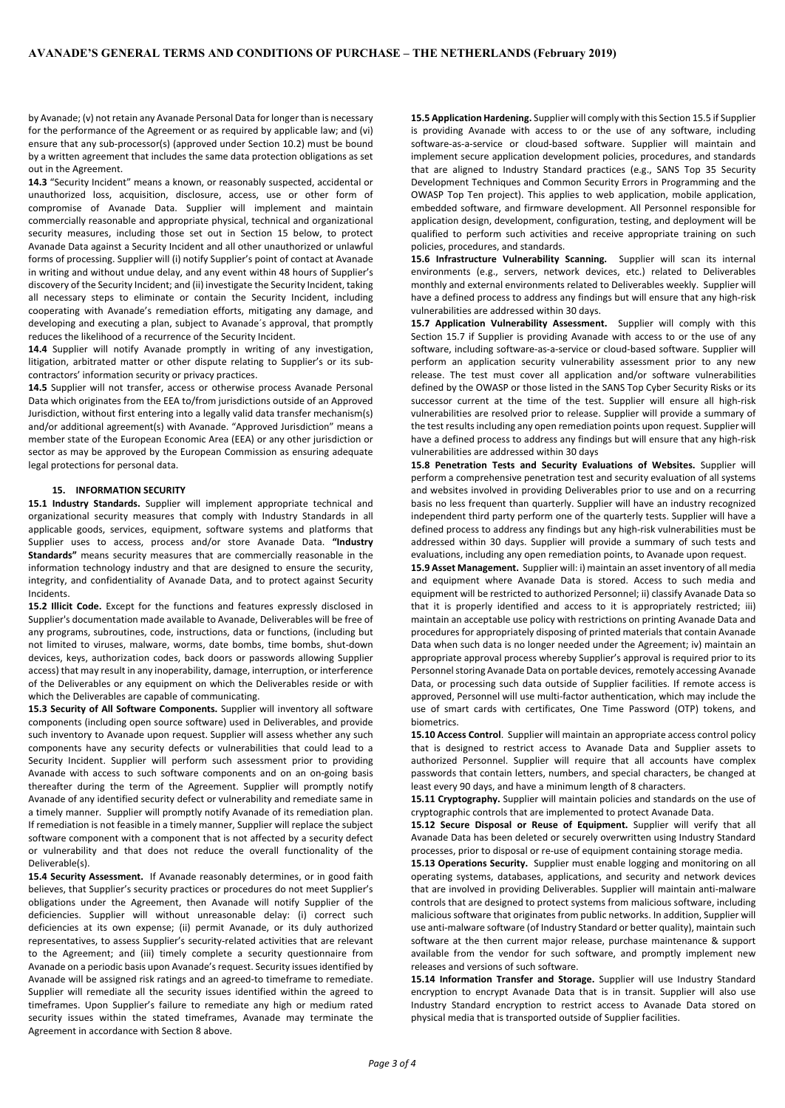by Avanade; (v) not retain any Avanade Personal Data for longer than is necessary for the performance of the Agreement or as required by applicable law; and (vi) ensure that any sub-processor(s) (approved under Section 10.2) must be bound by a written agreement that includes the same data protection obligations as set out in the Agreement.

**14.3** "Security Incident" means a known, or reasonably suspected, accidental or unauthorized loss, acquisition, disclosure, access, use or other form of compromise of Avanade Data. Supplier will implement and maintain commercially reasonable and appropriate physical, technical and organizational security measures, including those set out in Section 15 below, to protect Avanade Data against a Security Incident and all other unauthorized or unlawful forms of processing. Supplier will (i) notify Supplier's point of contact at Avanade in writing and without undue delay, and any event within 48 hours of Supplier's discovery of the Security Incident; and (ii) investigate the Security Incident, taking all necessary steps to eliminate or contain the Security Incident, including cooperating with Avanade's remediation efforts, mitigating any damage, and developing and executing a plan, subject to Avanade´s approval, that promptly reduces the likelihood of a recurrence of the Security Incident.

**14.4** Supplier will notify Avanade promptly in writing of any investigation, litigation, arbitrated matter or other dispute relating to Supplier's or its subcontractors' information security or privacy practices.

**14.5** Supplier will not transfer, access or otherwise process Avanade Personal Data which originates from the EEA to/from jurisdictions outside of an Approved Jurisdiction, without first entering into a legally valid data transfer mechanism(s) and/or additional agreement(s) with Avanade. "Approved Jurisdiction" means a member state of the European Economic Area (EEA) or any other jurisdiction or sector as may be approved by the European Commission as ensuring adequate legal protections for personal data.

### **15. INFORMATION SECURITY**

**15.1 Industry Standards.** Supplier will implement appropriate technical and organizational security measures that comply with Industry Standards in all applicable goods, services, equipment, software systems and platforms that Supplier uses to access, process and/or store Avanade Data. **"Industry Standards"** means security measures that are commercially reasonable in the information technology industry and that are designed to ensure the security, integrity, and confidentiality of Avanade Data, and to protect against Security Incidents.

**15.2 Illicit Code.** Except for the functions and features expressly disclosed in Supplier's documentation made available to Avanade, Deliverables will be free of any programs, subroutines, code, instructions, data or functions, (including but not limited to viruses, malware, worms, date bombs, time bombs, shut-down devices, keys, authorization codes, back doors or passwords allowing Supplier access) that may result in any inoperability, damage, interruption, or interference of the Deliverables or any equipment on which the Deliverables reside or with which the Deliverables are capable of communicating.

**15.3 Security of All Software Components.** Supplier will inventory all software components (including open source software) used in Deliverables, and provide such inventory to Avanade upon request. Supplier will assess whether any such components have any security defects or vulnerabilities that could lead to a Security Incident. Supplier will perform such assessment prior to providing Avanade with access to such software components and on an on-going basis thereafter during the term of the Agreement. Supplier will promptly notify Avanade of any identified security defect or vulnerability and remediate same in a timely manner. Supplier will promptly notify Avanade of its remediation plan. If remediation is not feasible in a timely manner, Supplier will replace the subject software component with a component that is not affected by a security defect or vulnerability and that does not reduce the overall functionality of the Deliverable(s).

**15.4 Security Assessment.** If Avanade reasonably determines, or in good faith believes, that Supplier's security practices or procedures do not meet Supplier's obligations under the Agreement, then Avanade will notify Supplier of the deficiencies. Supplier will without unreasonable delay: (i) correct such deficiencies at its own expense; (ii) permit Avanade, or its duly authorized representatives, to assess Supplier's security-related activities that are relevant to the Agreement; and (iii) timely complete a security questionnaire from Avanade on a periodic basis upon Avanade's request. Security issues identified by Avanade will be assigned risk ratings and an agreed-to timeframe to remediate. Supplier will remediate all the security issues identified within the agreed to timeframes. Upon Supplier's failure to remediate any high or medium rated security issues within the stated timeframes, Avanade may terminate the Agreement in accordance with Section 8 above.

**15.5 Application Hardening.** Supplier will comply with this Section 15.5 if Supplier is providing Avanade with access to or the use of any software, including software-as-a-service or cloud-based software. Supplier will maintain and implement secure application development policies, procedures, and standards that are aligned to Industry Standard practices (e.g., SANS Top 35 Security Development Techniques and Common Security Errors in Programming and the OWASP Top Ten project). This applies to web application, mobile application, embedded software, and firmware development. All Personnel responsible for application design, development, configuration, testing, and deployment will be qualified to perform such activities and receive appropriate training on such policies, procedures, and standards.

**15.6 Infrastructure Vulnerability Scanning.** Supplier will scan its internal environments (e.g., servers, network devices, etc.) related to Deliverables monthly and external environments related to Deliverables weekly. Supplier will have a defined process to address any findings but will ensure that any high-risk vulnerabilities are addressed within 30 days.

**15.7 Application Vulnerability Assessment.** Supplier will comply with this Section 15.7 if Supplier is providing Avanade with access to or the use of any software, including software-as-a-service or cloud-based software. Supplier will perform an application security vulnerability assessment prior to any new release. The test must cover all application and/or software vulnerabilities defined by the OWASP or those listed in the SANS Top Cyber Security Risks or its successor current at the time of the test. Supplier will ensure all high-risk vulnerabilities are resolved prior to release. Supplier will provide a summary of the test results including any open remediation points upon request. Supplier will have a defined process to address any findings but will ensure that any high-risk vulnerabilities are addressed within 30 days

**15.8 Penetration Tests and Security Evaluations of Websites.** Supplier will perform a comprehensive penetration test and security evaluation of all systems and websites involved in providing Deliverables prior to use and on a recurring basis no less frequent than quarterly. Supplier will have an industry recognized independent third party perform one of the quarterly tests. Supplier will have a defined process to address any findings but any high-risk vulnerabilities must be addressed within 30 days. Supplier will provide a summary of such tests and evaluations, including any open remediation points, to Avanade upon request.

**15.9 Asset Management.** Supplier will: i) maintain an asset inventory of all media and equipment where Avanade Data is stored. Access to such media and equipment will be restricted to authorized Personnel; ii) classify Avanade Data so that it is properly identified and access to it is appropriately restricted; iii) maintain an acceptable use policy with restrictions on printing Avanade Data and procedures for appropriately disposing of printed materials that contain Avanade Data when such data is no longer needed under the Agreement; iv) maintain an appropriate approval process whereby Supplier's approval is required prior to its Personnel storing Avanade Data on portable devices, remotely accessing Avanade Data, or processing such data outside of Supplier facilities. If remote access is approved, Personnel will use multi-factor authentication, which may include the use of smart cards with certificates, One Time Password (OTP) tokens, and biometrics.

**15.10 Access Control**. Supplier will maintain an appropriate access control policy that is designed to restrict access to Avanade Data and Supplier assets to authorized Personnel. Supplier will require that all accounts have complex passwords that contain letters, numbers, and special characters, be changed at least every 90 days, and have a minimum length of 8 characters.

**15.11 Cryptography.** Supplier will maintain policies and standards on the use of cryptographic controls that are implemented to protect Avanade Data.

**15.12 Secure Disposal or Reuse of Equipment.** Supplier will verify that all Avanade Data has been deleted or securely overwritten using Industry Standard processes, prior to disposal or re-use of equipment containing storage media.

**15.13 Operations Security.** Supplier must enable logging and monitoring on all operating systems, databases, applications, and security and network devices that are involved in providing Deliverables. Supplier will maintain anti-malware controls that are designed to protect systems from malicious software, including malicious software that originates from public networks. In addition, Supplier will use anti-malware software (of Industry Standard or better quality), maintain such software at the then current major release, purchase maintenance & support available from the vendor for such software, and promptly implement new releases and versions of such software.

**15.14 Information Transfer and Storage.** Supplier will use Industry Standard encryption to encrypt Avanade Data that is in transit. Supplier will also use Industry Standard encryption to restrict access to Avanade Data stored on physical media that is transported outside of Supplier facilities.